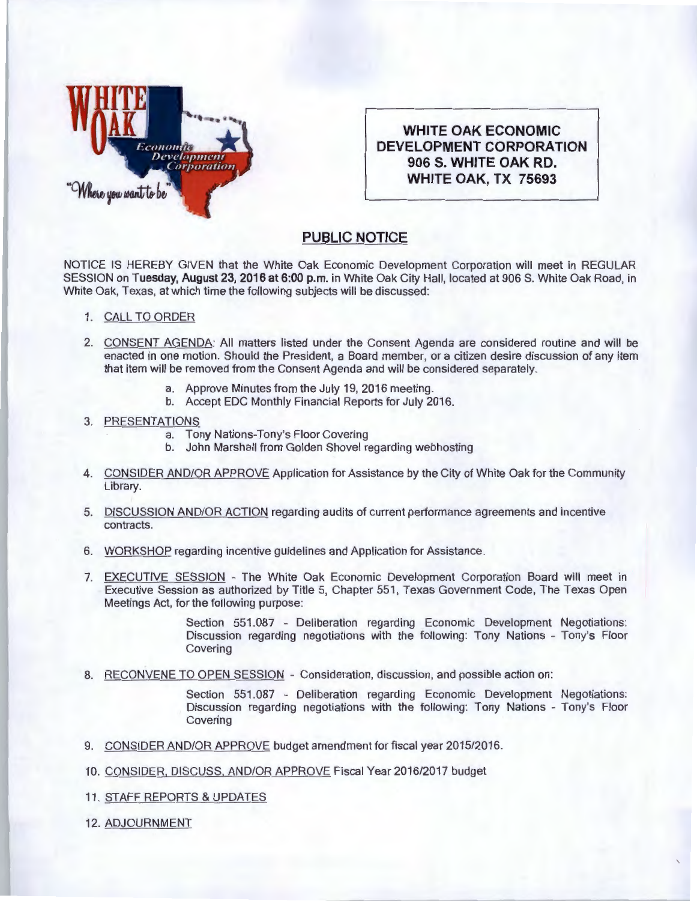

**WHITE OAK ECONOMIC DEVELOPMENT CORPORATION 906 S. WHITE OAK RD. WHITE OAK, TX 75693** 

## **PUBLIC NOTICE**

NOTICE IS HEREBY GIVEN that the White Oak Economic Development Corporation will meet in REGULAR SESSION on Tuesday, August 23, 2016 at 6:00 p.m. in White Oak City Hall, located at 906 S. White Oak Road, in White Oak, Texas, at which time the following subjects will be discussed:

- 1. CALL TO ORDER
- 2. CONSENT AGENDA: All matters listed under the Consent Agenda are considered routine and will be enacted in one motion. Should the President, a Board member, or a citizen desire discussion of any item that item will be removed from the Consent Agenda and will be considered separately.
	- a. Approve Minutes from the July 19, 2016 meeting.
	- b. Accept EDC Monthly Financial Reports for July 2016.

## 3. PRESENTATIONS

- a. Tony Nations-Tony's Floor Covering
- b. John Marshall from Golden Shovel regarding webhosting
- 4. CONSIDER AND/OR APPROVE Application for Assistance by the City of White Oak for the Community Library.
- 5. DISCUSSION AND/OR ACTION regarding audits of current performance agreements and incentive contracts.
- 6. WORKSHOP regarding incentive guidelines and Application for Assistance.
- 7. EXECUTIVE SESSION The White Oak Economic Development Corporation Board will meet in Executive Session as authorized by Title 5, Chapter 551 , Texas Government Code, The Texas Open Meetings Act, for the following purpose:

Section 551.087 - Deliberation regarding Economic Development Negotiations: Discussion regarding negotiations with the following: Tony Nations - Tony's Floor Covering

8. RECONVENE TO OPEN SESSION - Consideration, discussion, and possible action on:

Section 551.087 - Deliberation regarding Economic Development Negotiations: Discussion regarding negotiations with the following: Tony Nations - Tony's Floor Covering

- 9. CONSIDER AND/OR APPROVE budget amendment for fiscal year 2015/2016.
- 10. CONSIDER, DISCUSS, AND/OR APPROVE Fiscal Year 2016/2017 budget
- 11 . STAFF REPORTS & UPDATES

12. ADJOURNMENT